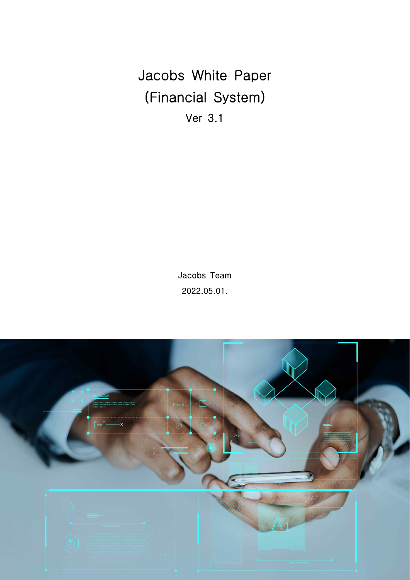Jacobs White Paper (Financial System) Ver 3.1

> Jacobs Team 2022.05.01.

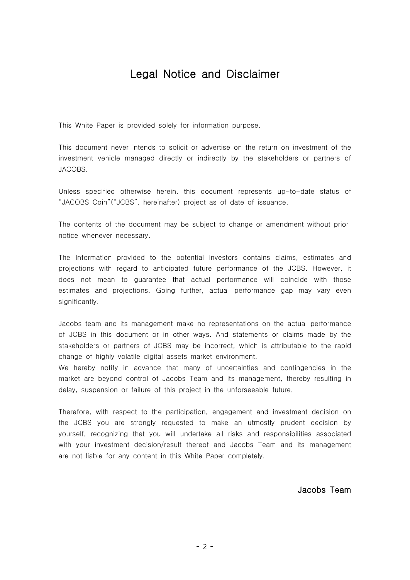# Legal Notice and Disclaimer

This White Paper is provided solely for information purpose.

This document never intends to solicit or advertise on the return on investment of the investment vehicle managed directly or indirectly by the stakeholders or partners of JACOBS.

Unless specified otherwise herein, this document represents up-to-date status of "JACOBS Coin"("JCBS", hereinafter) project as of date of issuance.

The contents of the document may be subject to change or amendment without prior notice whenever necessary.

The Information provided to the potential investors contains claims, estimates and projections with regard to anticipated future performance of the JCBS. However, it does not mean to guarantee that actual performance will coincide with those estimates and projections. Going further, actual performance gap may vary even significantly.

Jacobs team and its management make no representations on the actual performance of JCBS in this document or in other ways. And statements or claims made by the stakeholders or partners of JCBS may be incorrect, which is attributable to the rapid change of highly volatile digital assets market environment.

We hereby notify in advance that many of uncertainties and contingencies in the market are beyond control of Jacobs Team and its management, thereby resulting in delay, suspension or failure of this project in the unforseeable future.

Therefore, with respect to the participation, engagement and investment decision on the JCBS you are strongly requested to make an utmostly prudent decision by yourself, recognizing that you will undertake all risks and responsibilities associated with your investment decision/result thereof and Jacobs Team and its management are not liable for any content in this White Paper completely.

Jacobs Team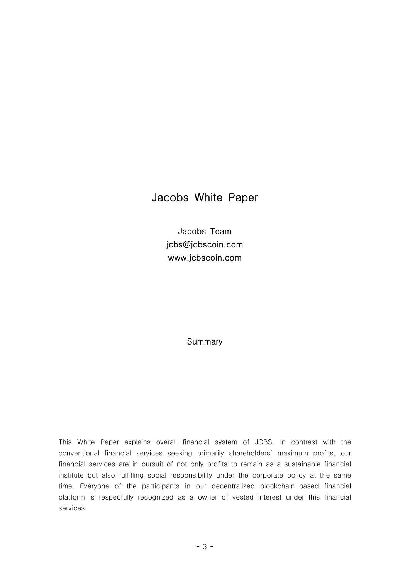# Jacobs White Paper

Jacobs Team jcbs@jcbscoin.com www.jcbscoin.com

### **Summary**

This White Paper explains overall financial system of JCBS. In contrast with the conventional financial services seeking primarily shareholders' maximum profits, our financial services are in pursuit of not only profits to remain as a sustainable financial institute but also fulfilling social responsibility under the corporate policy at the same time. Everyone of the participants in our decentralized blockchain-based financial platform is respecfully recognized as a owner of vested interest under this financial services.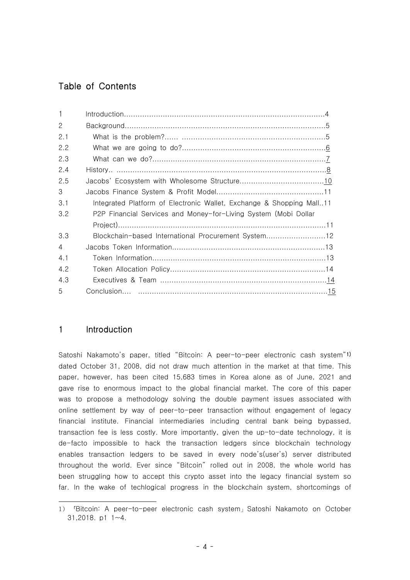# Table of Contents

| $\overline{2}$ |                                                                      |
|----------------|----------------------------------------------------------------------|
| 2.1            |                                                                      |
| 2.2            |                                                                      |
| 2.3            |                                                                      |
| 2.4            |                                                                      |
| 2.5            |                                                                      |
| 3              |                                                                      |
| 3.1            | Integrated Platform of Electronic Wallet, Exchange & Shopping Mall11 |
| 3.2            | P2P Financial Services and Money-for-Living System (Mobi Dollar      |
|                |                                                                      |
| 3.3            | Blockchain-based International Procurement System12                  |
| $\overline{A}$ |                                                                      |
| 4.1            |                                                                      |
| 4.2            |                                                                      |
| 4.3            |                                                                      |
| 5              |                                                                      |

# 1 Introduction

Satoshi Nakamoto's paper, titled "Bitcoin: A peer-to-peer electronic cash system"1) dated October 31, 2008, did not draw much attention in the market at that time. This paper, however, has been cited 15,683 times in Korea alone as of June, 2021 and gave rise to enormous impact to the global financial market. The core of this paper was to propose a methodology solving the double payment issues associated with online settlement by way of peer-to-peer transaction without engagement of legacy financial institute. Financial intermediaries including central bank being bypassed, transaction fee is less costly. More importantly, given the up-to-date technology, it is de-facto impossible to hack the transaction ledgers since blockchain technology enables transaction ledgers to be saved in every node's(user's) server distributed throughout the world. Ever since "Bitcoin" rolled out in 2008, the whole world has been struggling how to accept this crypto asset into the legacy financial system so far. In the wake of techlogical progress in the blockchain system, shortcomings of

<sup>1) 「</sup>Bitcoin: A peer-to-peer electronic cash system」Satoshi Nakamoto on October 31,2018. p1 1~4.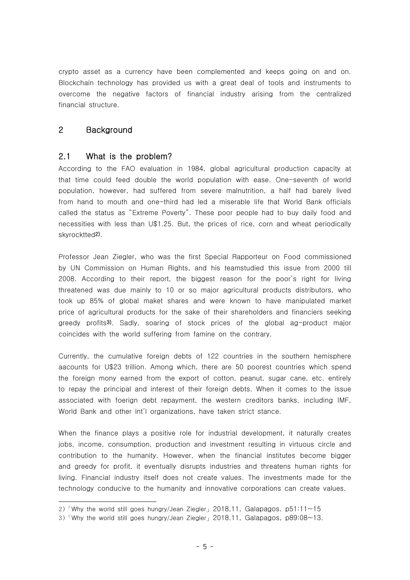crypto asset as a currency have been complemented and keeps going on and on. Blockchain technology has provided us with a great deal of tools and instruments to overcome the negative factors of financial industry arising from the centralized financial structure.

# 2 Background

# 2.1 What is the problem?

According to the FAO evaluation in 1984, global agricultural production capacity at that time could feed double the world population with ease. One-seventh of world population, however, had suffered from severe malnutrition, a half had barely lived from hand to mouth and one-third had led a miserable life that World Bank officials called the status as "Extreme Poverty". These poor people had to buy daily food and necessities with less than U\$1.25. But, the prices of rice, corn and wheat periodically skyrocktted<sup>2)</sup>.<br>Professor Jean Ziegler, who was the first Special Rapporteur on Food commissioned

by UN Commission on Human Rights, and his teamstudied this issue from 2000 till 2008. According to their report, the biggest reason for the poor's right for living threatened was due mainly to 10 or so major agricultural products distributors, who took up 85% of global maket shares and were known to have manipulated market price of agricultural products for the sake of their shareholders and financiers seeking greedy profits<sup>3</sup>). Sadly, soaring of stock prices of the global ag-product major coincides with the world suffering from famine on the contrary.

Currently, the cumulative foreign debts of 122 countries in the southern hemisphere aacounts for U\$23 trillion. Among which, there are 50 poorest countries which spend the foreign mony earned from the export of cotton, peanut, sugar cane, etc. entirely to repay the principal and interest of their foreign debts. When it comes to the issue associated with foerign debt repayment, the western creditors banks, including IMF, World Bank and other int'l organizations, have taken strict stance.

When the finance plays a positive role for industrial development, it naturally creates jobs, income, consumption, production and investment resulting in virtuous circle and contribution to the humanity. However, when the financial institutes become bigger and greedy for profit, it eventually disrupts industries and threatens human rights for living. Financial industry itself does not create values. The investments made for the technology conducive to the humanity and innovative corporations can create values.

<sup>2)「</sup>Why the world still goes hungry/Jean Ziegler」2018,11, Galapagos. p51:11~15

<sup>3)</sup>「Why the world still goes hungry/Jean Ziegler」2018.11, Galapagos, p89:08~13.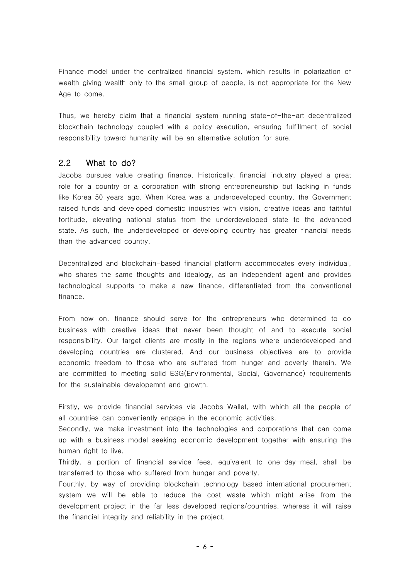Finance model under the centralized financial system, which results in polarization of wealth giving wealth only to the small group of people, is not appropriate for the New Age to come.

Thus, we hereby claim that a financial system running state-of-the-art decentralized blockchain technology coupled with a policy execution, ensuring fulfillment of social responsibility toward humanity will be an alternative solution for sure.

# 2.2 What to do?

Jacobs pursues value-creating finance. Historically, financial industry played a great role for a country or a corporation with strong entrepreneurship but lacking in funds like Korea 50 years ago. When Korea was a underdeveloped country, the Government raised funds and developed domestic industries with vision, creative ideas and faithful fortitude, elevating national status from the underdeveloped state to the advanced state. As such, the underdeveloped or developing country has greater financial needs than the advanced country.

Decentralized and blockchain-based financial platform accommodates every individual, who shares the same thoughts and idealogy, as an independent agent and provides technological supports to make a new finance, differentiated from the conventional finance.

From now on, finance should serve for the entrepreneurs who determined to do business with creative ideas that never been thought of and to execute social responsibility. Our target clients are mostly in the regions where underdeveloped and developing countries are clustered. And our business objectives are to provide economic freedom to those who are suffered from hunger and poverty therein. We are committed to meeting solid ESG(Environmental, Social, Governance) requirements for the sustainable developemnt and growth.

Firstly, we provide financial services via Jacobs Wallet, with which all the people of all countries can conveniently engage in the economic activities.

Secondly, we make investment into the technologies and corporations that can come up with a business model seeking economic development together with ensuring the human right to live.

Thirdly, a portion of financial service fees, equivalent to one-day-meal, shall be transferred to those who suffered from hunger and poverty.

Fourthly, by way of providing blockchain-technology-based international procurement system we will be able to reduce the cost waste which might arise from the development project in the far less developed regions/countries, whereas it will raise the financial integrity and reliability in the project.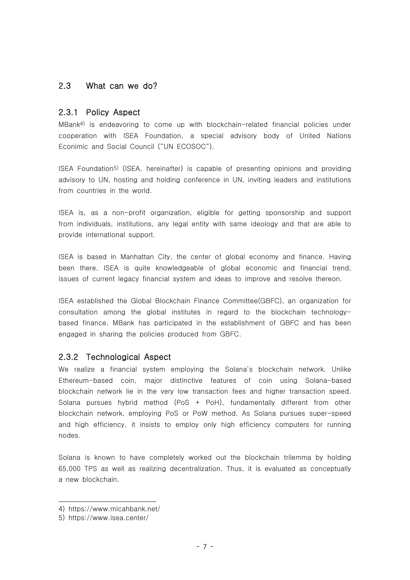# 2.3 What can we do?

### 2.3.1 Policy Aspect

MBank4) is endeavoring to come up with blockchain-related financial policies under cooperation with ISEA Foundation, a special advisory body of United Nations Econimic and Social Council ("UN ECOSOC").

ISEA Foundation5) (ISEA, hereinafter) is capable of presenting opinions and providing advisory to UN, hosting and holding conference in UN, inviting leaders and institutions from countries in the world.

ISEA is, as a non-profit organization, eligible for getting sponsorship and support from individuals, institutions, any legal entity with same ideology and that are able to provide international support.

ISEA is based in Manhattan City, the center of global economy and finance. Having been there, ISEA is quite knowledgeable of global economic and financial trend, issues of current legacy financial system and ideas to improve and resolve thereon.

ISEA established the Global Blockchain Finance Committee(GBFC), an organization for consultation among the global institutes in regard to the blockchain technologybased finance. MBank has participated in the establishment of GBFC and has been engaged in sharing the policies produced from GBFC.

# 2.3.2 Technological Aspect

We realize a financial system employing the Solana's blockchain network. Unlike Ethereum-based coin, major distinctive features of coin using Solana-based blockchain network lie in the very low transaction fees and higher transaction speed. Solana pursues hybrid method (PoS + PoH), fundamentally different from other blockchain network, employing PoS or PoW method. As Solana pursues super-speed and high efficiency, it insists to employ only high efficiency computers for running nodes.

Solana is known to have completely worked out the blockchain trilemma by holding 65,000 TPS as well as realizing decentralization. Thus, it is evaluated as conceptually a new blockchain.

<sup>4)</sup> https://www.micahbank.net/

<sup>5)</sup> https://www.isea.center/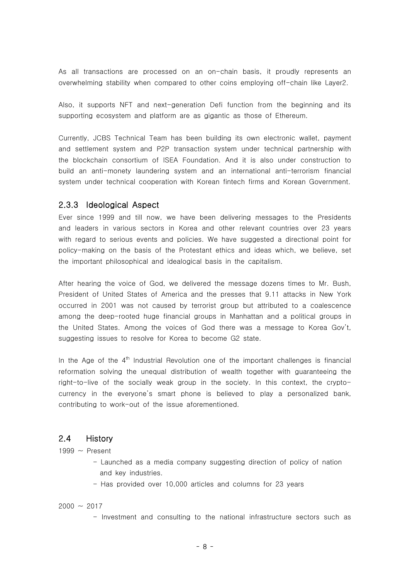As all transactions are processed on an on-chain basis, it proudly represents an overwhelming stability when compared to other coins employing off-chain like Layer2.

Also, it supports NFT and next-generation Defi function from the beginning and its supporting ecosystem and platform are as gigantic as those of Ethereum.

Currently, JCBS Technical Team has been building its own electronic wallet, payment and settlement system and P2P transaction system under technical partnership with the blockchain consortium of ISEA Foundation. And it is also under construction to build an anti-monety laundering system and an international anti-terrorism financial system under technical cooperation with Korean fintech firms and Korean Government.

#### 2.3.3 Ideological Aspect

Ever since 1999 and till now, we have been delivering messages to the Presidents and leaders in various sectors in Korea and other relevant countries over 23 years with regard to serious events and policies. We have suggested a directional point for policy-making on the basis of the Protestant ethics and ideas which, we believe, set the important philosophical and idealogical basis in the capitalism.

After hearing the voice of God, we delivered the message dozens times to Mr. Bush, President of United States of America and the presses that 9.11 attacks in New York occurred in 2001 was not caused by terrorist group but attributed to a coalescence among the deep-rooted huge financial groups in Manhattan and a political groups in the United States. Among the voices of God there was a message to Korea Gov't, suggesting issues to resolve for Korea to become G2 state.

In the Age of the  $4^{\text{th}}$  Industrial Revolution one of the important challenges is financial reformation solving the unequal distribution of wealth together with guaranteeing the right-to-live of the socially weak group in the society. In this context, the cryptocurrency in the everyone's smart phone is believed to play a personalized bank, contributing to work-out of the issue aforementioned.

#### 2.4 History

- 
- 1999  $\sim$  Present<br>- Launched as a media company suggesting direction of policy of nation and key industries.
	- Has provided over 10,000 articles and columns for 23 years

 $2000 - 2017$ 

- Investment and consulting to the national infrastructure sectors such as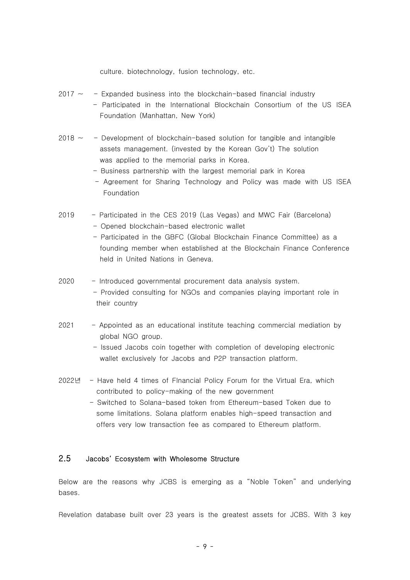culture. biotechnology, fusion technology, etc.

- $2017 \sim$  Expanded business into the blockchain-based financial industry - Participated in the International Blockchain Consortium of the US ISEA Foundation (Manhattan, New York)
- $2018 \sim$  Development of blockchain-based solution for tangible and intangible assets management. (invested by the Korean Gov't) The solution was applied to the memorial parks in Korea.
	- Business partnership with the largest memorial park in Korea
	- Agreement for Sharing Technology and Policy was made with US ISEA Foundation
- 2019 Participated in the CES 2019 (Las Vegas) and MWC Fair (Barcelona) - Opened blockchain-based electronic wallet<br>- Participated in the GBFC (Global Blockchain Finance Committee) as a
	- founding member when established at the Blockchain Finance Conference held in United Nations in Geneva.
- 2020 Introduced governmental procurement data analysis system. - Provided consulting for NGOs and companies playing important role in their country
- 2021 Appointed as an educational institute teaching commercial mediation by global NGO group.
	- Issued Jacobs coin together with completion of developing electronic wallet exclusively for Jacobs and P2P transaction platform.
- 2022년 Have held 4 times of FInancial Policy Forum for the Virtual Era, which contributed to policy-making of the new government
	- Switched to Solana-based token from Ethereum-based Token due to some limitations. Solana platform enables high-speed transaction and offers very low transaction fee as compared to Ethereum platform.

#### 2.5 Jacobs' Ecosystem with Wholesome Structure

Below are the reasons why JCBS is emerging as a "Noble Token" and underlying bases.

Revelation database built over 23 years is the greatest assets for JCBS. With 3 key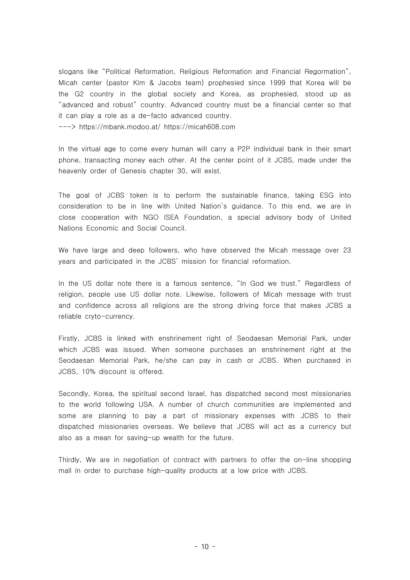slogans like "Political Reformation, Religious Reformation and Financial Regormation", Micah center (pastor Kim & Jacobs team) prophesied since 1999 that Korea will be the G2 country in the global society and Korea, as prophesied, stood up as "advanced and robust" country. Advanced country must be a financial center so that it can play a role as a de-facto advanced country. ---> https://mbank.modoo.at/ https://micah608.com

In the virtual age to come every human will carry a P2P individual bank in their smart phone, transacting money each other. At the center point of it JCBS, made under the heavenly order of Genesis chapter 30, will exist.

The goal of JCBS token is to perform the sustainable finance, taking ESG into consideration to be in line with United Nation's guidance. To this end, we are in close cooperation with NGO ISEA Foundation, a special advisory body of United Nations Economic and Social Council.

We have large and deep followers, who have observed the Micah message over 23 years and participated in the JCBS' mission for financial reformation.

In the US dollar note there is a famous sentence, "In God we trust." Regardless of religion, people use US dollar note. Likewise, followers of Micah message with trust and confidence across all religions are the strong driving force that makes JCBS a reliable cryto-currency.

Firstly, JCBS is linked with enshrinement right of Seodaesan Memorial Park, under which JCBS was issued. When someone purchases an enshrinement right at the Seodaesan Memorial Park, he/she can pay in cash or JCBS. When purchased in JCBS, 10% discount is offered.

Secondly, Korea, the spiritual second Israel, has dispatched second most missionaries to the world following USA. A number of church communities are implemented and some are planning to pay a part of missionary expenses with JCBS to their dispatched missionaries overseas. We believe that JCBS will act as a currency but also as a mean for saving-up wealth for the future.

Thirdly, We are in negotiation of contract with partners to offer the on-line shopping mall in order to purchase high-quality products at a low price with JCBS.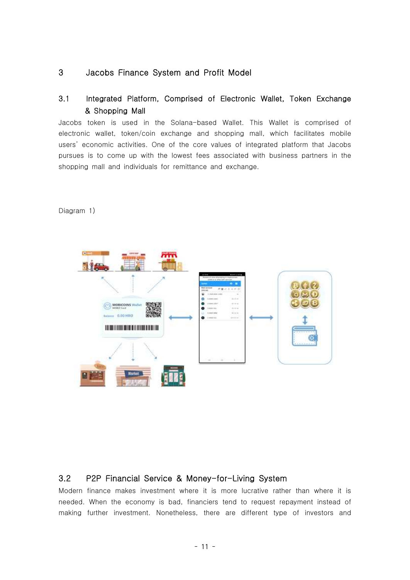# 3 Jacobs Finance System and Profit Model

# 3.1 Integrated Platform, Comprised of Electronic Wallet, Token Exchange & Shopping Mall

Jacobs token is used in the Solana-based Wallet. This Wallet is comprised of electronic wallet, token/coin exchange and shopping mall, which facilitates mobile users' economic activities. One of the core values of integrated platform that Jacobs pursues is to come up with the lowest fees associated with business partners in the shopping mall and individuals for remittance and exchange.

MOBICOINS Walter 0.00 HRD **THE REAL PROPERTY OF A** 

#### Diagram 1)

# 3.2 P2P Financial Service & Money-for-Living System

Modern finance makes investment where it is more lucrative rather than where it is needed. When the economy is bad, financiers tend to request repayment instead of making further investment. Nonetheless, there are different type of investors and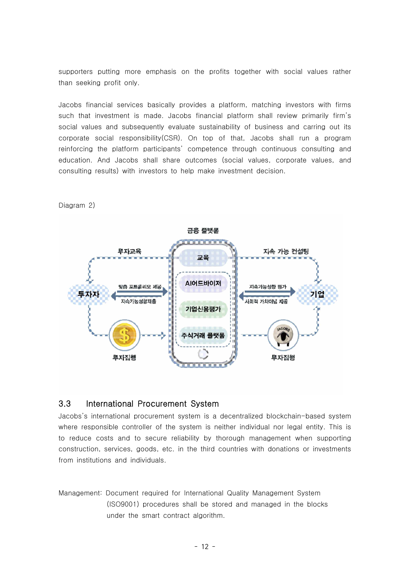supporters putting more emphasis on the profits together with social values rather than seeking profit only.

Jacobs financial services basically provides a platform, matching investors with firms such that investment is made. Jacobs financial platform shall review primarily firm's social values and subsequently evaluate sustainability of business and carring out its corporate social responsibility(CSR). On top of that, Jacobs shall run a program reinforcing the platform participants' competence through continuous consulting and education. And Jacobs shall share outcomes (social values, corporate values, and consulting results) with investors to help make investment decision.

금융 즐랫폼 . . . . . . . 부자교육 지속 가능 컨설팅 교육 **AICHELIOIT** .<br>맞춤 포트폴리오 제공 지속기능성향 평가 투자자 기업 지습가능성향제촠 기업신용평가 식거래 플랫폼 부자집행 무자집행

Diagram 2)

### 3.3 International Procurement System

Jacobs's international procurement system is a decentralized blockchain-based system where responsible controller of the system is neither individual nor legal entity. This is to reduce costs and to secure reliability by thorough management when supporting construction, services, goods, etc. in the third countries with donations or investments from institutions and individuals.

Management: Document required for International Quality Management System (ISO9001) procedures shall be stored and managed in the blocks under the smart contract algorithm.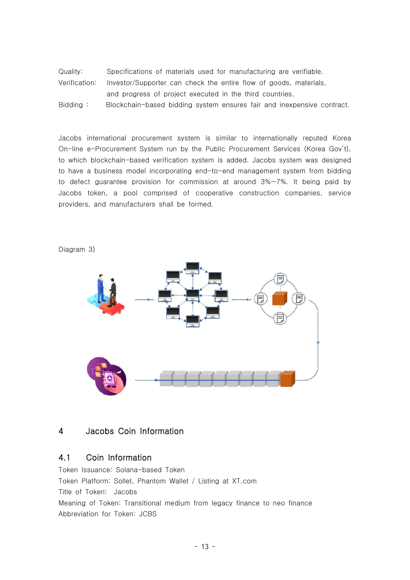Quality: Specifications of materials used for manufacturing are verifiable. Verification: Investor/Supporter can check the entire flow of goods, materials, and progress of project executed in the third countries. Bidding : Blockchain-based bidding system ensures fair and inexpensive contract.

Jacobs international procurement system is similar to internationally reputed Korea On-line e-Procurement System run by the Public Procurement Services (Korea Gov't), to which blockchain-based verification system is added. Jacobs system was designed to have a business model incorporating end-to-end management system from bidding to defect guarantee provision for commission at around 3%~7%. It being paid by Jacobs token, a pool comprised of cooperative construction companies, service providers, and manufacturers shall be formed.

Diagram 3)



# 4 Jacobs Coin Information

# 4.1 Coin Information

Token Issuance: Solana-based Token Token Platform: Sollet, Phantom Wallet / Listing at XT.com Title of Token: Jacobs Meaning of Token: Transitional medium from legacy finance to neo finance Abbreviation for Token: JCBS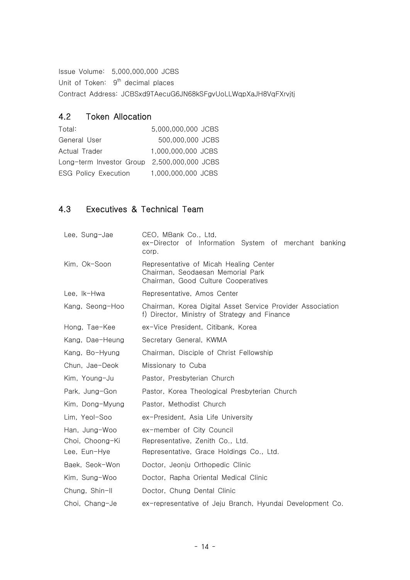Issue Volume: 5,000,000,000 JCBS

Unit of Token: 9<sup>th</sup> decimal places

Contract Address: JCBSxd9TAecuG6JN68kSFgvUoLLWqpXaJH8VqFXrvjtj

# 4.2 Token Allocation

| Total:                                      | 5.000.000.000 JCBS |
|---------------------------------------------|--------------------|
| General User                                | 500,000,000 JCBS   |
| Actual Trader                               | 1.000.000.000 JCBS |
| Long-term Investor Group 2,500,000,000 JCBS |                    |
| <b>ESG Policy Execution</b>                 | 1.000.000.000 JCBS |

# 4.3 Executives & Technical Team

| Lee, Sung-Jae                                    | CEO, MBank Co., Ltd,<br>ex-Director of Information System of merchant banking<br>corp.                             |
|--------------------------------------------------|--------------------------------------------------------------------------------------------------------------------|
| Kim, Ok-Soon                                     | Representative of Micah Healing Center<br>Chairman, Seodaesan Memorial Park<br>Chairman, Good Culture Cooperatives |
| Lee. Ik-Hwa                                      | Representative, Amos Center                                                                                        |
| Kang, Seong-Hoo                                  | Chairman, Korea Digital Asset Service Provider Association<br>f) Director, Ministry of Strategy and Finance        |
| Hong, Tae-Kee                                    | ex-Vice President, Citibank, Korea                                                                                 |
| Kang, Dae-Heung                                  | Secretary General, KWMA                                                                                            |
| Kang, Bo-Hyung                                   | Chairman, Disciple of Christ Fellowship                                                                            |
| Chun, Jae-Deok                                   | Missionary to Cuba                                                                                                 |
| Kim, Young-Ju                                    | Pastor, Presbyterian Church                                                                                        |
| Park, Jung-Gon                                   | Pastor, Korea Theological Presbyterian Church                                                                      |
| Kim, Dong-Myung                                  | Pastor, Methodist Church                                                                                           |
| Lim, Yeol-Soo                                    | ex-President, Asia Life University                                                                                 |
| Han, Jung-Woo<br>Choi, Choong-Ki<br>Lee, Eun-Hye | ex-member of City Council<br>Representative, Zenith Co., Ltd.<br>Representative, Grace Holdings Co., Ltd.          |
| Baek, Seok-Won                                   | Doctor, Jeonju Orthopedic Clinic                                                                                   |
| Kim, Sung-Woo                                    | Doctor, Rapha Oriental Medical Clinic                                                                              |
| Chung, Shin-II                                   | Doctor, Chung Dental Clinic                                                                                        |
| Choi, Chang-Je                                   | ex-representative of Jeju Branch, Hyundai Development Co.                                                          |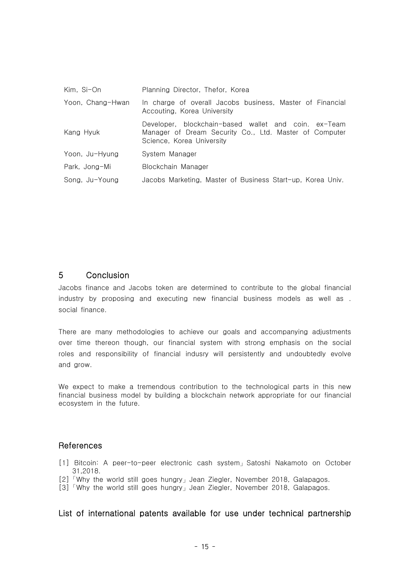| Kim, Si-On       | Planning Director, Thefor, Korea                                                                                                            |
|------------------|---------------------------------------------------------------------------------------------------------------------------------------------|
| Yoon, Chang-Hwan | In charge of overall Jacobs business, Master of Financial<br>Accouting, Korea University                                                    |
| Kang Hyuk        | Developer, blockchain-based wallet and coin. ex-Team<br>Manager of Dream Security Co., Ltd. Master of Computer<br>Science, Korea University |
| Yoon, Ju-Hyung   | System Manager                                                                                                                              |
| Park, Jong-Mi    | Blockchain Manager                                                                                                                          |
| Song, Ju-Young   | Jacobs Marketing, Master of Business Start-up, Korea Univ.                                                                                  |

#### 5 Conclusion

Jacobs finance and Jacobs token are determined to contribute to the global financial industry by proposing and executing new financial business models as well as . social finance.

There are many methodologies to achieve our goals and accompanying adjustments over time thereon though, our financial system with strong emphasis on the social roles and responsibility of financial indusry will persistently and undoubtedly evolve and grow.

We expect to make a tremendous contribution to the technological parts in this new financial business model by building a blockchain network appropriate for our financial ecosystem in the future.

### **References**

- [1] Bitcoin: A peer-to-peer electronic cash system」Satoshi Nakamoto on October 31,2018.
- [2] 「Why the world still goes hungry」Jean Ziegler, November 2018, Galapagos.
- [3]「Why the world still goes hungry」Jean Ziegler, November 2018, Galapagos.

### List of international patents available for use under technical partnership